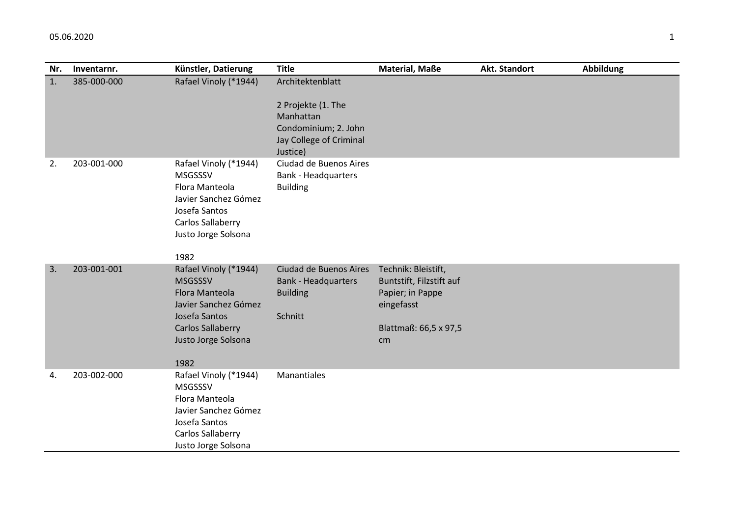| Nr. | Inventarnr. | Künstler, Datierung                                                                                                                                           | <b>Title</b>                                                                                                       | <b>Material, Maße</b>                                                                                            | Akt. Standort | <b>Abbildung</b> |
|-----|-------------|---------------------------------------------------------------------------------------------------------------------------------------------------------------|--------------------------------------------------------------------------------------------------------------------|------------------------------------------------------------------------------------------------------------------|---------------|------------------|
| 1.  | 385-000-000 | Rafael Vinoly (*1944)                                                                                                                                         | Architektenblatt<br>2 Projekte (1. The<br>Manhattan<br>Condominium; 2. John<br>Jay College of Criminal<br>Justice) |                                                                                                                  |               |                  |
| 2.  | 203-001-000 | Rafael Vinoly (*1944)<br><b>MSGSSSV</b><br>Flora Manteola<br>Javier Sanchez Gómez<br>Josefa Santos<br>Carlos Sallaberry<br>Justo Jorge Solsona<br>1982        | Ciudad de Buenos Aires<br><b>Bank - Headquarters</b><br><b>Building</b>                                            |                                                                                                                  |               |                  |
| 3.  | 203-001-001 | Rafael Vinoly (*1944)<br><b>MSGSSSV</b><br>Flora Manteola<br>Javier Sanchez Gómez<br>Josefa Santos<br><b>Carlos Sallaberry</b><br>Justo Jorge Solsona<br>1982 | Ciudad de Buenos Aires<br><b>Bank - Headquarters</b><br><b>Building</b><br>Schnitt                                 | Technik: Bleistift,<br>Buntstift, Filzstift auf<br>Papier; in Pappe<br>eingefasst<br>Blattmaß: 66,5 x 97,5<br>cm |               |                  |
| 4.  | 203-002-000 | Rafael Vinoly (*1944)<br><b>MSGSSSV</b><br>Flora Manteola<br>Javier Sanchez Gómez<br>Josefa Santos<br>Carlos Sallaberry<br>Justo Jorge Solsona                | Manantiales                                                                                                        |                                                                                                                  |               |                  |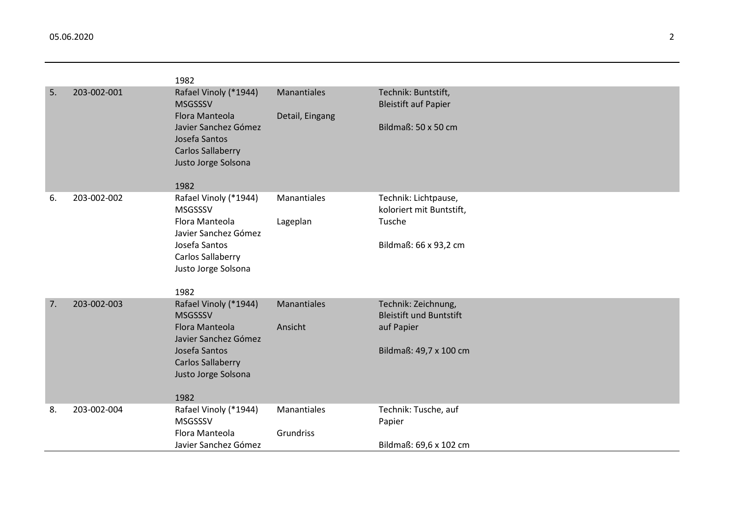|    |             | 1982                                                                                                                                                                 |                                       |                                                                                               |
|----|-------------|----------------------------------------------------------------------------------------------------------------------------------------------------------------------|---------------------------------------|-----------------------------------------------------------------------------------------------|
| 5. | 203-002-001 | Rafael Vinoly (*1944)<br><b>MSGSSSV</b><br><b>Flora Manteola</b><br>Javier Sanchez Gómez<br>Josefa Santos<br><b>Carlos Sallaberry</b><br>Justo Jorge Solsona<br>1982 | <b>Manantiales</b><br>Detail, Eingang | Technik: Buntstift,<br><b>Bleistift auf Papier</b><br>Bildmaß: 50 x 50 cm                     |
| 6. | 203-002-002 | Rafael Vinoly (*1944)<br><b>MSGSSSV</b><br>Flora Manteola<br>Javier Sanchez Gómez<br>Josefa Santos<br>Carlos Sallaberry<br>Justo Jorge Solsona<br>1982               | Manantiales<br>Lageplan               | Technik: Lichtpause,<br>koloriert mit Buntstift,<br>Tusche<br>Bildmaß: 66 x 93,2 cm           |
| 7. | 203-002-003 | Rafael Vinoly (*1944)<br><b>MSGSSSV</b><br><b>Flora Manteola</b><br>Javier Sanchez Gómez<br>Josefa Santos<br><b>Carlos Sallaberry</b><br>Justo Jorge Solsona<br>1982 | <b>Manantiales</b><br>Ansicht         | Technik: Zeichnung,<br><b>Bleistift und Buntstift</b><br>auf Papier<br>Bildmaß: 49,7 x 100 cm |
| 8. | 203-002-004 | Rafael Vinoly (*1944)<br><b>MSGSSSV</b><br>Flora Manteola<br>Javier Sanchez Gómez                                                                                    | Manantiales<br>Grundriss              | Technik: Tusche, auf<br>Papier<br>Bildmaß: 69,6 x 102 cm                                      |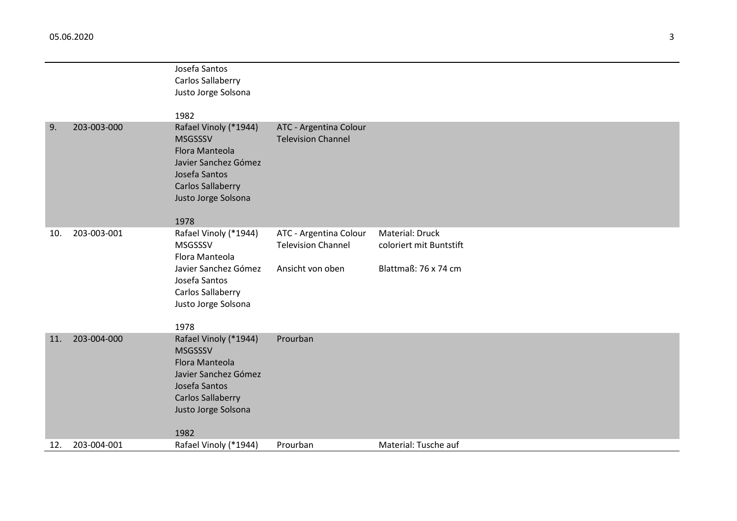|     |             | Josefa Santos                            |                           |                         |
|-----|-------------|------------------------------------------|---------------------------|-------------------------|
|     |             | Carlos Sallaberry                        |                           |                         |
|     |             | Justo Jorge Solsona                      |                           |                         |
|     |             | 1982                                     |                           |                         |
| 9.  | 203-003-000 | Rafael Vinoly (*1944)                    | ATC - Argentina Colour    |                         |
|     |             | <b>MSGSSSV</b>                           | <b>Television Channel</b> |                         |
|     |             | Flora Manteola                           |                           |                         |
|     |             | Javier Sanchez Gómez                     |                           |                         |
|     |             | Josefa Santos                            |                           |                         |
|     |             | <b>Carlos Sallaberry</b>                 |                           |                         |
|     |             | Justo Jorge Solsona                      |                           |                         |
|     |             | 1978                                     |                           |                         |
| 10. | 203-003-001 | Rafael Vinoly (*1944)                    | ATC - Argentina Colour    | Material: Druck         |
|     |             | MSGSSSV                                  | <b>Television Channel</b> | coloriert mit Buntstift |
|     |             | Flora Manteola                           |                           |                         |
|     |             | Javier Sanchez Gómez                     | Ansicht von oben          | Blattmaß: 76 x 74 cm    |
|     |             | Josefa Santos                            |                           |                         |
|     |             | Carlos Sallaberry<br>Justo Jorge Solsona |                           |                         |
|     |             |                                          |                           |                         |
|     |             | 1978                                     |                           |                         |
| 11. | 203-004-000 | Rafael Vinoly (*1944)                    | Prourban                  |                         |
|     |             | <b>MSGSSSV</b>                           |                           |                         |
|     |             | Flora Manteola                           |                           |                         |
|     |             | Javier Sanchez Gómez<br>Josefa Santos    |                           |                         |
|     |             | <b>Carlos Sallaberry</b>                 |                           |                         |
|     |             | Justo Jorge Solsona                      |                           |                         |
|     |             |                                          |                           |                         |
|     |             | 1982                                     |                           |                         |
| 12. | 203-004-001 | Rafael Vinoly (*1944)                    | Prourban                  | Material: Tusche auf    |